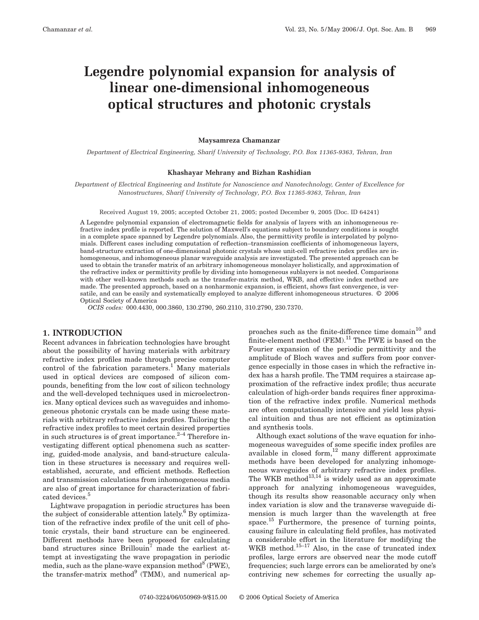# **Legendre polynomial expansion for analysis of linear one-dimensional inhomogeneous optical structures and photonic crystals**

## **Maysamreza Chamanzar**

*Department of Electrical Engineering, Sharif University of Technology, P.O. Box 11365-9363, Tehran, Iran*

## **Khashayar Mehrany and Bizhan Rashidian**

*Department of Electrical Engineering and Institute for Nanoscience and Nanotechnology, Center of Excellence for Nanostructures, Sharif University of Technology, P.O. Box 11365-9363, Tehran, Iran*

Received August 19, 2005; accepted October 21, 2005; posted December 9, 2005 (Doc. ID 64241)

A Legendre polynomial expansion of electromagnetic fields for analysis of layers with an inhomogeneous refractive index profile is reported. The solution of Maxwell's equations subject to boundary conditions is sought in a complete space spanned by Legendre polynomials. Also, the permittivity profile is interpolated by polynomials. Different cases including computation of reflection–transmission coefficients of inhomogeneous layers, band-structure extraction of one-dimensional photonic crystals whose unit-cell refractive index profiles are inhomogeneous, and inhomogeneous planar waveguide analysis are investigated. The presented approach can be used to obtain the transfer matrix of an arbitrary inhomogeneous monolayer holistically, and approximation of the refractive index or permittivity profile by dividing into homogeneous sublayers is not needed. Comparisons with other well-known methods such as the transfer-matrix method, WKB, and effective index method are made. The presented approach, based on a nonharmonic expansion, is efficient, shows fast convergence, is versatile, and can be easily and systematically employed to analyze different inhomogeneous structures. © 2006 Optical Society of America

*OCIS codes:* 000.4430, 000.3860, 130.2790, 260.2110, 310.2790, 230.7370.

## **1. INTRODUCTION**

Recent advances in fabrication technologies have brought about the possibility of having materials with arbitrary refractive index profiles made through precise computer control of the fabrication parameters.<sup>1</sup> Many materials used in optical devices are composed of silicon compounds, benefiting from the low cost of silicon technology and the well-developed techniques used in microelectronics. Many optical devices such as waveguides and inhomogeneous photonic crystals can be made using these materials with arbitrary refractive index profiles. Tailoring the refractive index profiles to meet certain desired properties in such structures is of great importance. $2-4$  Therefore investigating different optical phenomena such as scattering, guided-mode analysis, and band-structure calculation in these structures is necessary and requires wellestablished, accurate, and efficient methods. Reflection and transmission calculations from inhomogeneous media are also of great importance for characterization of fabricated devices.<sup>5</sup>

Lightwave propagation in periodic structures has been the subject of considerable attention lately.<sup>6</sup> By optimization of the refractive index profile of the unit cell of photonic crystals, their band structure can be engineered. Different methods have been proposed for calculating band structures since  $Brillouin<sup>7</sup>$  made the earliest attempt at investigating the wave propagation in periodic media, such as the plane-wave expansion method<sup>8</sup> (PWE), the transfer-matrix method $^{9}$  (TMM), and numerical ap-

proaches such as the finite-difference time domain $^{10}$  and  $\overline{f}$  finite-element method (FEM).<sup>11</sup> The PWE is based on the Fourier expansion of the periodic permittivity and the amplitude of Bloch waves and suffers from poor convergence especially in those cases in which the refractive index has a harsh profile. The TMM requires a staircase approximation of the refractive index profile; thus accurate calculation of high-order bands requires finer approximation of the refractive index profile. Numerical methods are often computationally intensive and yield less physical intuition and thus are not efficient as optimization and synthesis tools.

Although exact solutions of the wave equation for inhomogeneous waveguides of some specific index profiles are available in closed form,<sup>12</sup> many different approximate methods have been developed for analyzing inhomogeneous waveguides of arbitrary refractive index profiles. The WKB method<sup>13,14</sup> is widely used as an approximate approach for analyzing inhomogeneous waveguides, though its results show reasonable accuracy only when index variation is slow and the transverse waveguide dimension is much larger than the wavelength at free space.<sup>15</sup> Furthermore, the presence of turning points, causing failure in calculating field profiles, has motivated a considerable effort in the literature for modifying the WKB method.<sup>15–17</sup> Also, in the case of truncated index profiles, large errors are observed near the mode cutoff frequencies; such large errors can be ameliorated by one's contriving new schemes for correcting the usually ap-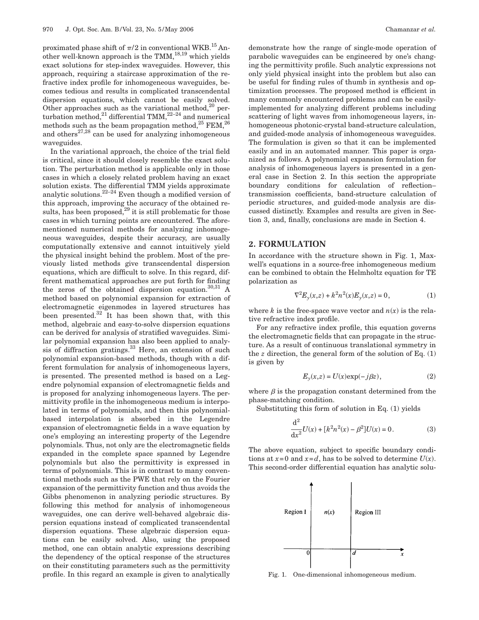proximated phase shift of  $\pi/2$  in conventional WKB.<sup>15</sup> Another well-known approach is the TMM, $^{18,19}$  which yields exact solutions for step-index waveguides. However, this approach, requiring a staircase approximation of the refractive index profile for inhomogeneous waveguides, becomes tedious and results in complicated transcendental dispersion equations, which cannot be easily solved. Other approaches such as the variational method, $^{20}$  perturbation method,<sup>21</sup> differential TMM,<sup>22–24</sup> and numerical methods such as the beam propagation method,  $^{25}$  FEM,  $^{26}$ and others $^{27,28}$  can be used for analyzing inhomogeneous waveguides.

In the variational approach, the choice of the trial field is critical, since it should closely resemble the exact solution. The perturbation method is applicable only in those cases in which a closely related problem having an exact solution exists. The differential TMM yields approximate analytic solutions.<sup>22–24</sup> Even though a modified version of this approach, improving the accuracy of the obtained results, has been proposed, $^{29}$  it is still problematic for those cases in which turning points are encountered. The aforementioned numerical methods for analyzing inhomogeneous waveguides, despite their accuracy, are usually computationally extensive and cannot intuitively yield the physical insight behind the problem. Most of the previously listed methods give transcendental dispersion equations, which are difficult to solve. In this regard, different mathematical approaches are put forth for finding the zeros of the obtained dispersion equation. $30,31$  A method based on polynomial expansion for extraction of electromagnetic eigenmodes in layered structures has been presented. $32$  It has been shown that, with this method, algebraic and easy-to-solve dispersion equations can be derived for analysis of stratified waveguides. Similar polynomial expansion has also been applied to analysis of diffraction gratings. $33$  Here, an extension of such polynomial expansion-based methods, though with a different formulation for analysis of inhomogeneous layers, is presented. The presented method is based on a Legendre polynomial expansion of electromagnetic fields and is proposed for analyzing inhomogeneous layers. The permittivity profile in the inhomogeneous medium is interpolated in terms of polynomials, and then this polynomialbased interpolation is absorbed in the Legendre expansion of electromagnetic fields in a wave equation by one's employing an interesting property of the Legendre polynomials. Thus, not only are the electromagnetic fields expanded in the complete space spanned by Legendre polynomials but also the permittivity is expressed in terms of polynomials. This is in contrast to many conventional methods such as the PWE that rely on the Fourier expansion of the permittivity function and thus avoids the Gibbs phenomenon in analyzing periodic structures. By following this method for analysis of inhomogeneous waveguides, one can derive well-behaved algebraic dispersion equations instead of complicated transcendental dispersion equations. These algebraic dispersion equations can be easily solved. Also, using the proposed method, one can obtain analytic expressions describing the dependency of the optical response of the structures on their constituting parameters such as the permittivity profile. In this regard an example is given to analytically

demonstrate how the range of single-mode operation of parabolic waveguides can be engineered by one's changing the permittivity profile. Such analytic expressions not only yield physical insight into the problem but also can be useful for finding rules of thumb in synthesis and optimization processes. The proposed method is efficient in many commonly encountered problems and can be easilyimplemented for analyzing different problems including scattering of light waves from inhomogeneous layers, inhomogeneous photonic-crystal band-structure calculation, and guided-mode analysis of inhomogeneous waveguides. The formulation is given so that it can be implemented easily and in an automated manner. This paper is organized as follows. A polynomial expansion formulation for analysis of inhomogeneous layers is presented in a general case in Section 2. In this section the appropriate boundary conditions for calculation of reflection– transmission coefficients, band-structure calculation of periodic structures, and guided-mode analysis are discussed distinctly. Examples and results are given in Section 3, and, finally, conclusions are made in Section 4.

# **2. FORMULATION**

In accordance with the structure shown in Fig. 1, Maxwell's equations in a source-free inhomogeneous medium can be combined to obtain the Helmholtz equation for TE polarization as

$$
\nabla^2 E_y(x,z) + k^2 n^2(x) E_y(x,z) = 0, \tag{1}
$$

where *k* is the free-space wave vector and  $n(x)$  is the relative refractive index profile.

For any refractive index profile, this equation governs the electromagnetic fields that can propagate in the structure. As a result of continuous translational symmetry in the  $z$  direction, the general form of the solution of Eq.  $(1)$ is given by

$$
E_y(x,z) = U(x) \exp(-j\beta z),\tag{2}
$$

where  $\beta$  is the propagation constant determined from the phase-matching condition.

Substituting this form of solution in Eq. (1) yields

$$
\frac{d^2}{dx^2}U(x) + [k^2n^2(x) - \beta^2]U(x) = 0.
$$
 (3)

The above equation, subject to specific boundary conditions at  $x=0$  and  $x=d$ , has to be solved to determine  $U(x)$ . This second-order differential equation has analytic solu-



Fig. 1. One-dimensional inhomogeneous medium.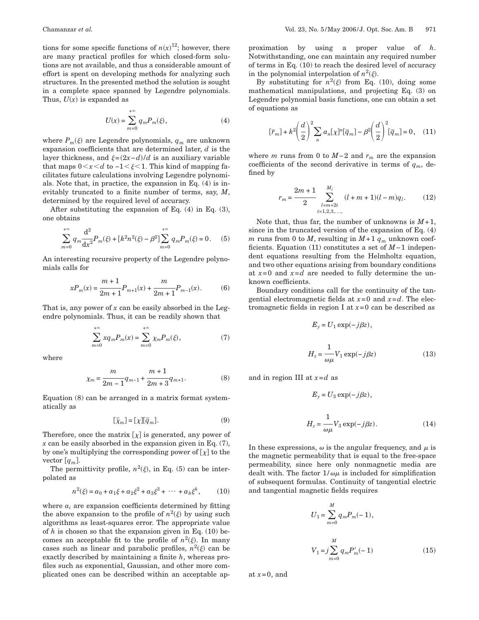tions for some specific functions of  $n(x)^{12}$ ; however, there are many practical profiles for which closed-form solutions are not available, and thus a considerable amount of effort is spent on developing methods for analyzing such structures. In the presented method the solution is sought in a complete space spanned by Legendre polynomials. Thus,  $U(x)$  is expanded as

$$
U(x) = \sum_{m=0}^{+\infty} q_m P_m(\xi),
$$
 (4)

where  $P_m(\xi)$  are Legendre polynomials,  $q_m$  are unknown expansion coefficients that are determined later, *d* is the layer thickness, and  $\xi = (2x - d)/d$  is an auxiliary variable that maps  $0 \le x \le d$  to  $-1 \le \xi \le 1$ . This kind of mapping facilitates future calculations involving Legendre polynomials. Note that, in practice, the expansion in Eq. (4) is inevitably truncated to a finite number of terms, say, *M*, determined by the required level of accuracy.

After substituting the expansion of Eq. (4) in Eq. (3), one obtains

$$
\sum_{m=0}^{+\infty} q_m \frac{\mathrm{d}^2}{\mathrm{d}x^2} P_m(\xi) + \left[k^2 n^2(\xi) - \beta^2\right] \sum_{m=0}^{+\infty} q_m P_m(\xi) = 0. \tag{5}
$$

An interesting recursive property of the Legendre polynomials calls for

$$
xP_m(x) = \frac{m+1}{2m+1}P_{m+1}(x) + \frac{m}{2m+1}P_{m-1}(x).
$$
 (6)

That is, any power of *x* can be easily absorbed in the Legendre polynomials. Thus, it can be readily shown that

$$
\sum_{m=0}^{+\infty} x q_m P_m(x) = \sum_{m=0}^{+\infty} \chi_m P_m(\xi),
$$
 (7)

where

$$
\chi_m = \frac{m}{2m-1}q_{m-1} + \frac{m+1}{2m+3}q_{m+1}.
$$
 (8)

Equation (8) can be arranged in a matrix format systematically as

$$
[\bar{\chi}_m] = [\chi][\bar{q}_m].\tag{9}
$$

Therefore, once the matrix  $[\chi]$  is generated, any power of *x* can be easily absorbed in the expansion given in Eq. (7), by one's multiplying the corresponding power of  $[\chi]$  to the vector  $[q_m]$ .

The permittivity profile,  $n^2(\xi)$ , in Eq. (5) can be interpolated as

$$
n^{2}(\xi) = a_{0} + a_{1}\xi + a_{2}\xi^{2} + a_{3}\xi^{3} + \cdots + a_{h}\xi^{h},
$$
 (10)

where  $a_i$  are expansion coefficients determined by fitting the above expansion to the profile of  $n^2(\xi)$  by using such algorithms as least-squares error. The appropriate value of *h* is chosen so that the expansion given in Eq. (10) becomes an acceptable fit to the profile of  $n^2(\xi)$ . In many cases such as linear and parabolic profiles,  $n^2(\xi)$  can be exactly described by maintaining a finite *h*, whereas profiles such as exponential, Gaussian, and other more complicated ones can be described within an acceptable ap-

proximation by using a proper value of *h*. Notwithstanding, one can maintain any required number of terms in Eq. (10) to reach the desired level of accuracy in the polynomial interpolation of  $n^2(\xi)$ .

By substituting for  $n^2(\xi)$  from Eq. (10), doing some mathematical manipulations, and projecting Eq. (3) on Legendre polynomial basis functions, one can obtain a set of equations as

$$
[\overline{r}_m] + k^2 \left(\frac{d}{2}\right)^2 \sum_n a_n [\chi]^n [\overline{q}_m] - \beta^2 \left(\frac{d}{2}\right)^2 [\overline{q}_m] = 0, \quad (11)
$$

where *m* runs from 0 to  $M-2$  and  $r_m$  are the expansion coefficients of the second derivative in terms of  $q_m$ , defined by

$$
r_m = \frac{2m+1}{2} \sum_{\substack{l=m+2t \ t=1,2,3,\ldots}}^{M_i} (l+m+1)(l-m)q_l. \tag{12}
$$

Note that, thus far, the number of unknowns is  $M+1$ , since in the truncated version of the expansion of Eq. (4) *m* runs from 0 to *M*, resulting in  $M+1$   $q_m$  unknown coefficients. Equation (11) constitutes a set of *M*−1 independent equations resulting from the Helmholtz equation, and two other equations arising from boundary conditions at  $x=0$  and  $x=d$  are needed to fully determine the unknown coefficients.

Boundary conditions call for the continuity of the tangential electromagnetic fields at *x*=0 and *x*=*d*. The electromagnetic fields in region I at  $x=0$  can be described as

$$
E_y = U_1 \exp(-j\beta z),
$$
  

$$
H_z = \frac{1}{\omega\mu} V_1 \exp(-j\beta z)
$$
 (13)

and in region III at *x*=*d* as

$$
E_y = U_3 \exp(-j\beta z),
$$
  
\n
$$
H_z = \frac{1}{\omega\mu} V_3 \exp(-j\beta z).
$$
 (14)

In these expressions,  $\omega$  is the angular frequency, and  $\mu$  is the magnetic permeability that is equal to the free-space permeability, since here only nonmagnetic media are dealt with. The factor  $1/\omega\mu$  is included for simplification of subsequent formulas. Continuity of tangential electric and tangential magnetic fields requires

$$
U_1 = \sum_{m=0}^{M} q_m P_m(-1),
$$
  

$$
V_1 = j \sum_{m=0}^{M} q_m P'_m(-1)
$$
 (15)

at  $x=0$ , and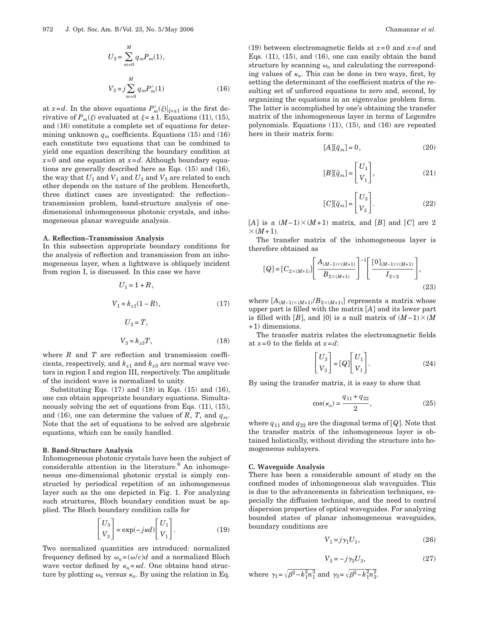$$
U_3 = \sum_{m=0}^{M} q_m P_m(1),
$$
  
\n
$$
V_3 = j \sum_{m=0}^{M} q_m P'_m(1)
$$
 (16)

at  $x = d$ . In the above equations  $P'_m(\xi)|_{\xi = \pm 1}$  is the first derivative of  $P_m(\xi)$  evaluated at  $\xi = \pm 1$ . Equations (11), (15), and (16) constitute a complete set of equations for determining unknown  $q_m$  coefficients. Equations (15) and (16) each constitute two equations that can be combined to yield one equation describing the boundary condition at  $x=0$  and one equation at  $x=d$ . Although boundary equations are generally described here as Eqs. (15) and (16), the way that  $U_1$  and  $V_1$  and  $U_3$  and  $V_3$  are related to each other depends on the nature of the problem. Henceforth, three distinct cases are investigated: the reflection– transmission problem, band-structure analysis of onedimensional inhomogeneous photonic crystals, and inhomogeneous planar waveguide analysis.

## **A. Reflection–Transmission Analysis**

In this subsection appropriate boundary conditions for the analysis of reflection and transmission from an inhomogeneous layer, when a lightwave is obliquely incident from region I, is discussed. In this case we have

$$
U_1 = 1 + R,
$$
  
\n
$$
V_1 = k_{x1}(1 - R),
$$
  
\n
$$
U_3 = T,
$$
  
\n
$$
V_3 = k_{x3}T,
$$
  
\n(18)

where *R* and *T* are reflection and transmission coefficients, respectively, and  $k_{x1}$  and  $k_{x3}$  are normal wave vectors in region I and region III, respectively. The amplitude of the incident wave is normalized to unity.

Substituting Eqs.  $(17)$  and  $(18)$  in Eqs.  $(15)$  and  $(16)$ , one can obtain appropriate boundary equations. Simultaneously solving the set of equations from Eqs. (11), (15), and (16), one can determine the values of  $R$ ,  $T$ , and  $q_m$ . Note that the set of equations to be solved are algebraic equations, which can be easily handled.

#### **B. Band-Structure Analysis**

Inhomogeneous photonic crystals have been the subject of considerable attention in the literature.<sup>6</sup> An inhomogeneous one-dimensional photonic crystal is simply constructed by periodical repetition of an inhomogeneous layer such as the one depicted in Fig. 1. For analyzing such structures, Bloch boundary condition must be applied. The Bloch boundary condition calls for

$$
\begin{bmatrix} U_3 \\ V_3 \end{bmatrix} = \exp(-j\kappa d) \begin{bmatrix} U_1 \\ V_1 \end{bmatrix}.
$$
 (19)

Two normalized quantities are introduced: normalized frequency defined by  $\omega_n = (\omega/c)d$  and a normalized Bloch wave vector defined by  $\kappa_n = \kappa d$ . One obtains band structure by plotting  $\omega_n$  versus  $\kappa_n$ . By using the relation in Eq.

(19) between electromagnetic fields at  $x=0$  and  $x=d$  and Eqs.  $(11)$ ,  $(15)$ , and  $(16)$ , one can easily obtain the band structure by scanning  $\omega_n$  and calculating the corresponding values of  $\kappa_n$ . This can be done in two ways, first, by setting the determinant of the coefficient matrix of the resulting set of unforced equations to zero and, second, by organizing the equations in an eigenvalue problem form. The latter is accomplished by one's obtaining the transfer matrix of the inhomogeneous layer in terms of Legendre polynomials. Equations (11), (15), and (16) are repeated here in their matrix form:

$$
[A][\overline{q}_m] = 0,\t(20)
$$

$$
[B][\bar{q}_m] = \begin{bmatrix} U_1 \\ V_1 \end{bmatrix},\tag{21}
$$

$$
[C][\overline{q}_m] = \begin{bmatrix} U_3 \\ V_3 \end{bmatrix}.
$$
 (22)

 $[A]$  is a  $(M-1)\times(M+1)$  matrix, and  $[B]$  and  $[C]$  are 2  $\times$   $(M+1)$ .

The transfer matrix of the inhomogeneous layer is therefore obtained as

$$
[Q] = [C_{2 \times (M+1)}] \left[ \frac{A_{(M-1) \times (M+1)}}{B_{2 \times (M+1)}} \right]^{-1} \left[ \frac{[0]_{(M-1) \times (M+1)}}{I_{2 \times 2}} \right],
$$
\n(23)

where  $[A_{(M-1)\times(M+1)}/B_{2\times(M+1)}]$  represents a matrix whose upper part is filled with the matrix  $[A]$  and its lower part is filled with  $[B]$ , and  $[0]$  is a null matrix of  $(M-1) \times (M)$ +1) dimensions.

The transfer matrix relates the electromagnetic fields at  $x=0$  to the fields at  $x=d$ :

$$
\begin{bmatrix} U_3 \\ V_3 \end{bmatrix} = [Q] \begin{bmatrix} U_1 \\ V_1 \end{bmatrix} . \tag{24}
$$

By using the transfer matrix, it is easy to show that

$$
\cos(\kappa_n) = \frac{q_{11} + q_{22}}{2},\tag{25}
$$

where  $q_{11}$  and  $q_{22}$  are the diagonal terms of  $[Q]$ . Note that the transfer matrix of the inhomogeneous layer is obtained holistically, without dividing the structure into homogeneous sublayers.

#### **C. Waveguide Analysis**

There has been a considerable amount of study on the confined modes of inhomogeneous slab waveguides. This is due to the advancements in fabrication techniques, especially the diffusion technique, and the need to control dispersion properties of optical waveguides. For analyzing bounded states of planar inhomogeneous waveguides, boundary conditions are

$$
V_1 = j\gamma_1 U_1,\tag{26}
$$

$$
V_3 = -j\gamma_3 U_3,\tag{27}
$$

where 
$$
\gamma_1 = \sqrt{\beta^2 - k_1^2 n_1^2}
$$
 and  $\gamma_3 = \sqrt{\beta^2 - k_1^2 n_3^2}$ .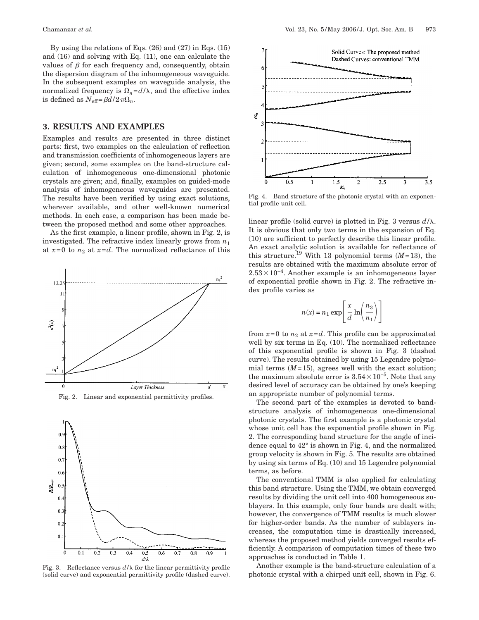By using the relations of Eqs. (26) and (27) in Eqs. (15) and (16) and solving with Eq. (11), one can calculate the values of  $\beta$  for each frequency and, consequently, obtain the dispersion diagram of the inhomogeneous waveguide. In the subsequent examples on waveguide analysis, the normalized frequency is  $\Omega_n = d/\lambda$ , and the effective index is defined as  $N_{\text{eff}} = \beta d / 2 \pi \Omega_n$ .

# **3. RESULTS AND EXAMPLES**

Examples and results are presented in three distinct parts: first, two examples on the calculation of reflection and transmission coefficients of inhomogeneous layers are given; second, some examples on the band-structure calculation of inhomogeneous one-dimensional photonic crystals are given; and, finally, examples on guided-mode analysis of inhomogeneous waveguides are presented. The results have been verified by using exact solutions, wherever available, and other well-known numerical methods. In each case, a comparison has been made between the proposed method and some other approaches.

As the first example, a linear profile, shown in Fig. 2, is investigated. The refractive index linearly grows from  $n_1$ at  $x=0$  to  $n_2$  at  $x=d$ . The normalized reflectance of this



Fig. 2. Linear and exponential permittivity profiles.



Fig. 3. Reflectance versus  $d/\lambda$  for the linear permittivity profile (solid curve) and exponential permittivity profile (dashed curve).



Fig. 4. Band structure of the photonic crystal with an exponential profile unit cell.

linear profile (solid curve) is plotted in Fig. 3 versus  $d/\lambda$ . It is obvious that only two terms in the expansion of Eq. (10) are sufficient to perfectly describe this linear profile. An exact analytic solution is available for reflectance of this structure.<sup>19</sup> With 13 polynomial terms  $(M=13)$ , the results are obtained with the maximum absolute error of  $2.53\times10^{-4}$ . Another example is an inhomogeneous layer of exponential profile shown in Fig. 2. The refractive index profile varies as

$$
n(x) = n_1 \exp\left[\frac{x}{d} \ln\left(\frac{n_3}{n_1}\right)\right]
$$

from  $x=0$  to  $n_2$  at  $x=d$ . This profile can be approximated well by six terms in Eq. (10). The normalized reflectance of this exponential profile is shown in Fig. 3 (dashed curve). The results obtained by using 15 Legendre polynomial terms  $(M=15)$ , agrees well with the exact solution; the maximum absolute error is  $3.54 \times 10^{-5}$ . Note that any desired level of accuracy can be obtained by one's keeping an appropriate number of polynomial terms.

The second part of the examples is devoted to bandstructure analysis of inhomogeneous one-dimensional photonic crystals. The first example is a photonic crystal whose unit cell has the exponential profile shown in Fig. 2. The corresponding band structure for the angle of incidence equal to 42° is shown in Fig. 4, and the normalized group velocity is shown in Fig. 5. The results are obtained by using six terms of Eq. (10) and 15 Legendre polynomial terms, as before.

The conventional TMM is also applied for calculating this band structure. Using the TMM, we obtain converged results by dividing the unit cell into 400 homogeneous sublayers. In this example, only four bands are dealt with; however, the convergence of TMM results is much slower for higher-order bands. As the number of sublayers increases, the computation time is drastically increased, whereas the proposed method yields converged results efficiently. A comparison of computation times of these two approaches is conducted in Table 1.

Another example is the band-structure calculation of a photonic crystal with a chirped unit cell, shown in Fig. 6.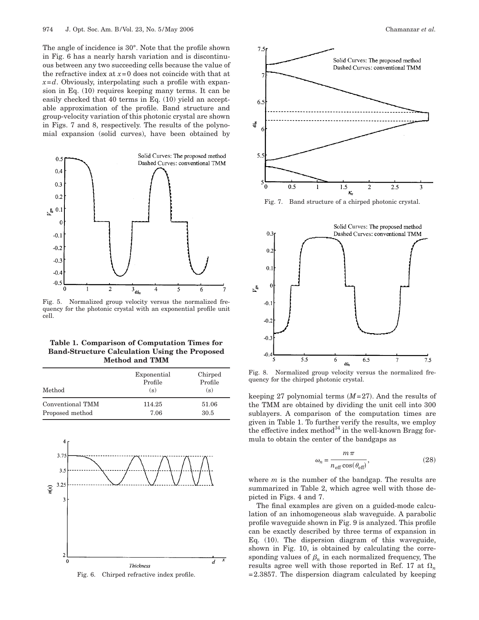The angle of incidence is 30°. Note that the profile shown in Fig. 6 has a nearly harsh variation and is discontinuous between any two succeeding cells because the value of the refractive index at *x*=0 does not coincide with that at *x*=*d*. Obviously, interpolating such a profile with expansion in Eq. (10) requires keeping many terms. It can be easily checked that 40 terms in Eq. (10) yield an acceptable approximation of the profile. Band structure and group-velocity variation of this photonic crystal are shown in Figs. 7 and 8, respectively. The results of the polynomial expansion (solid curves), have been obtained by



Fig. 5. Normalized group velocity versus the normalized frequency for the photonic crystal with an exponential profile unit cell.

| Table 1. Comparison of Computation Times for         |
|------------------------------------------------------|
| <b>Band-Structure Calculation Using the Proposed</b> |
| <b>Method and TMM</b>                                |

| Method           | Exponential<br>Profile<br>(s) | Chirped<br>Profile<br>(s) |
|------------------|-------------------------------|---------------------------|
| Conventional TMM | 114.25                        | 51.06                     |
| Proposed method  | 7.06                          | 30.5                      |



Fig. 6. Chirped refractive index profile.





Fig. 8. Normalized group velocity versus the normalized frequency for the chirped photonic crystal.

keeping 27 polynomial terms  $(M=27)$ . And the results of the TMM are obtained by dividing the unit cell into 300 sublayers. A comparison of the computation times are given in Table 1. To further verify the results, we employ the effective index method $34$  in the well-known Bragg formula to obtain the center of the bandgaps as

$$
\omega_n = \frac{m\,\pi}{n_{\text{eff}}\cos(\theta_{\text{eff}})},\tag{28}
$$

where *m* is the number of the bandgap. The results are summarized in Table 2, which agree well with those depicted in Figs. 4 and 7.

The final examples are given on a guided-mode calculation of an inhomogeneous slab waveguide. A parabolic profile waveguide shown in Fig. 9 is analyzed. This profile can be exactly described by three terms of expansion in Eq. (10). The dispersion diagram of this waveguide, shown in Fig. 10, is obtained by calculating the corresponding values of  $\beta_n$  in each normalized frequency, The results agree well with those reported in Ref. 17 at  $\Omega_n$  $=2.3857$ . The dispersion diagram calculated by keeping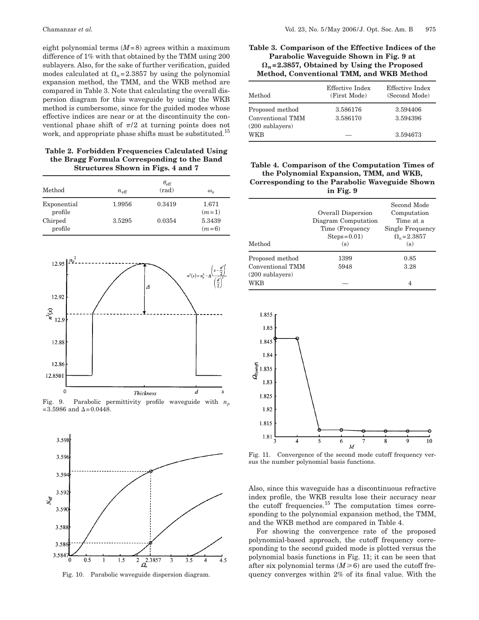eight polynomial terms  $(M=8)$  agrees within a maximum difference of 1% with that obtained by the TMM using 200 sublayers. Also, for the sake of further verification, guided modes calculated at  $\Omega_n$ =2.3857 by using the polynomial expansion method, the TMM, and the WKB method are compared in Table 3. Note that calculating the overall dispersion diagram for this waveguide by using the WKB method is cumbersome, since for the guided modes whose effective indices are near or at the discontinuity the conventional phase shift of  $\pi/2$  at turning points does not work, and appropriate phase shifts must be substituted.<sup>15</sup>

**Table 2. Forbidden Frequencies Calculated Using the Bragg Formula Corresponding to the Band Structures Shown in Figs. 4 and 7**

| Method                 | $n_{\text{eff}}$ | $\theta_{\rm eff}$<br>$\text{rad}$ | $\omega_n$        |
|------------------------|------------------|------------------------------------|-------------------|
| Exponential<br>profile | 1.9956           | 0.3419                             | 1.671<br>$(m=1)$  |
| Chirped<br>profile     | 3.5295           | 0.0354                             | 5.3439<br>$(m=6)$ |



Fig. 9. Parabolic permittivity profile waveguide with  $n_p$  $=3.5986$  and  $\Delta = 0.0448$ .



Fig. 10. Parabolic waveguide dispersion diagram.

## **Table 3. Comparison of the Effective Indices of the Parabolic Waveguide Shown in Fig. 9 at** !*n***=2.3857, Obtained by Using the Proposed Method, Conventional TMM, and WKB Method**

| $\operatorname*{Method}% \left( \mathcal{M}\right) \times\mathcal{M}_{\mathcal{N}}\left( \mathcal{M}\right)$ | Effective Index<br>(First Mode) | Effective Index<br>(Second Mode) |
|--------------------------------------------------------------------------------------------------------------|---------------------------------|----------------------------------|
| Proposed method<br>Conventional TMM<br>(200 sublayers)                                                       | 3.586176<br>3.586170            | 3.594406<br>3.594396             |
| WKB                                                                                                          |                                 | 3.594673                         |

**Table 4. Comparison of the Computation Times of the Polynomial Expansion, TMM, and WKB, Corresponding to the Parabolic Waveguide Shown in Fig. 9**

|                                                                                                              | Overall Dispersion<br>Diagram Computation<br>Time (Frequency<br>$Steps = 0.01$ | Second Mode<br>Computation<br>Time at a<br>Single Frequency<br>$\Omega_n = 2.3857$ |
|--------------------------------------------------------------------------------------------------------------|--------------------------------------------------------------------------------|------------------------------------------------------------------------------------|
| $\operatorname*{Method}% \left( \mathcal{M}\right) \times\mathcal{M}_{\mathcal{N}}\left( \mathcal{M}\right)$ | (s)                                                                            | (s)                                                                                |
| Proposed method                                                                                              | 1399                                                                           | 0.85                                                                               |
| Conventional TMM<br>(200 sublayers)                                                                          | 5948                                                                           | 3.28                                                                               |
| WKB                                                                                                          |                                                                                | 4                                                                                  |



Fig. 11. Convergence of the second mode cutoff frequency versus the number polynomial basis functions.

Also, since this waveguide has a discontinuous refractive index profile, the WKB results lose their accuracy near the cutoff frequencies.15 The computation times corresponding to the polynomial expansion method, the TMM, and the WKB method are compared in Table 4.

For showing the convergence rate of the proposed polynomial-based approach, the cutoff frequency corresponding to the second guided mode is plotted versus the polynomial basis functions in Fig. 11; it can be seen that after six polynomial terms  $(M \ge 6)$  are used the cutoff frequency converges within 2% of its final value. With the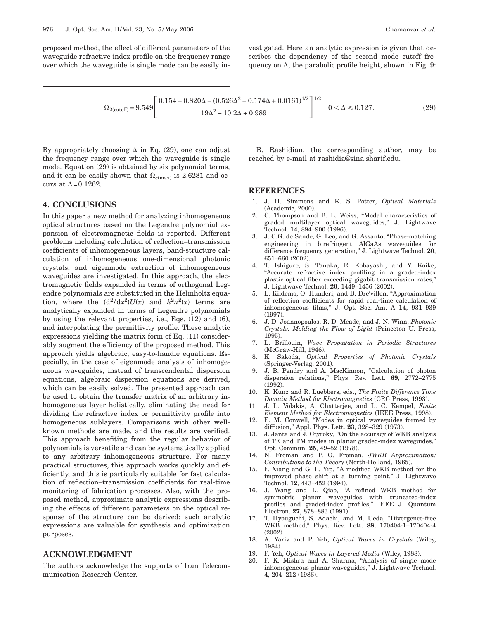proposed method, the effect of different parameters of the waveguide refractive index profile on the frequency range over which the waveguide is single mode can be easily investigated. Here an analytic expression is given that describes the dependency of the second mode cutoff frequency on  $\Delta$ , the parabolic profile height, shown in Fig. 9:

$$
\Omega_{2(cutoff)} = 9.549 \left[ \frac{0.154 - 0.820\Delta - (0.526\Delta^2 - 0.174\Delta + 0.0161)^{1/2}}{19\Delta^2 - 10.2\Delta + 0.989} \right]^{1/2} \quad 0 < \Delta \le 0.127. \tag{29}
$$

By appropriately choosing  $\Delta$  in Eq. (29), one can adjust the frequency range over which the waveguide is single mode. Equation (29) is obtained by six polynomial terms, and it can be easily shown that  $\Omega_{c(\text{max})}$  is 2.6281 and occurs at  $\Delta$ =0.1262.

## **4. CONCLUSIONS**

In this paper a new method for analyzing inhomogeneous optical structures based on the Legendre polynomial expansion of electromagnetic fields is reported. Different problems including calculation of reflection–transmission coefficients of inhomogeneous layers, band-structure calculation of inhomogeneous one-dimensional photonic crystals, and eigenmode extraction of inhomogeneous waveguides are investigated. In this approach, the electromagnetic fields expanded in terms of orthogonal Legendre polynomials are substituted in the Helmholtz equation, where the  $(d^2/dx^2)U(x)$  and  $k^2n^2(x)$  terms are analytically expanded in terms of Legendre polynomials by using the relevant properties, i.e., Eqs. (12) and (6), and interpolating the permittivity profile. These analytic expressions yielding the matrix form of Eq. (11) considerably augment the efficiency of the proposed method. This approach yields algebraic, easy-to-handle equations. Especially, in the case of eigenmode analysis of inhomogeneous waveguides, instead of transcendental dispersion equations, algebraic dispersion equations are derived, which can be easily solved. The presented approach can be used to obtain the transfer matrix of an arbitrary inhomogeneous layer holistically, eliminating the need for dividing the refractive index or permittivity profile into homogeneous sublayers. Comparisons with other wellknown methods are made, and the results are verified. This approach benefiting from the regular behavior of polynomials is versatile and can be systematically applied to any arbitrary inhomogeneous structure. For many practical structures, this approach works quickly and efficiently, and this is particularly suitable for fast calculation of reflection–transmission coefficients for real-time monitoring of fabrication processes. Also, with the proposed method, approximate analytic expressions describing the effects of different parameters on the optical response of the structure can be derived; such analytic expressions are valuable for synthesis and optimization purposes.

# **ACKNOWLEDGMENT**

The authors acknowledge the supports of Iran Telecommunication Research Center.

B. Rashidian, the corresponding author, may be reached by e-mail at rashidia@sina.sharif.edu.

## **REFERENCES**

- 1. J. H. Simmons and K. S. Potter, *Optical Materials* (Academic, 2000).
- 2. C. Thompson and B. L. Weiss, "Modal characteristics of graded multilayer optical waveguides," J. Lightwave Technol. **14**, 894–900 (1996).
- 3. J. C.G. de Sande, G. Leo, and G. Assanto, "Phase-matching engineering in birefringent AlGaAs waveguides for difference frequency generation," J. Lightwave Technol. **20**, 651–660 (2002).
- 4. T. Ishigure, S. Tanaka, E. Kobayashi, and Y. Koike, "Accurate refractive index profiling in a graded-index plastic optical fiber exceeding gigabit transmission rates," J. Lightwave Technol. **20**, 1449–1456 (2002).
- 5. L. Kildemo, O. Hunderi, and B. Dre'villon, "Approximation of reflection coefficients for rapid real-time calculation of inhomogeneous films," J. Opt. Soc. Am. A **14**, 931–939 (1997).
- 6. J. D. Joannopoulos, R. D. Meade, and J. N. Winn, *Photonic Crystals: Molding the Flow of Light* (Princeton U. Press, 1995).
- 7. L. Brillouin, *Wave Propagation in Periodic Structures* (McGraw-Hill, 1946).
- 8. K. Sakoda, *Optical Properties of Photonic Crystals* (Springer-Verlag, 2001).
- 9. J. B. Pendry and A. MacKinnon, "Calculation of photon dispersion relations," Phys. Rev. Lett. **69**, 2772–2775 (1992).
- 10. K. Kunz and R. Luebbers, eds., *The Finite Difference Time Domain Method for Electromagnetics* (CRC Press, 1993).
- 11. J. L. Volakis, A. Chatterjee, and L. C. Kempel, *Finite Element Method for Electromagnetics* (IEEE Press, 1998).
- 12. E. M. Conwell, "Modes in optical waveguides formed by diffusion," Appl. Phys. Lett. **23**, 328–329 (1973).
- 13. J. Janta and J. Ctyroky, "On the accuracy of WKB analysis of TE and TM modes in planar graded-index waveguides," Opt. Commun. **25**, 49–52 (1978).
- 14. N. Froman and P. O. Froman, *JWKB Approximation: Contributions to the Theory* (North-Holland, 1965).
- 15. F. Xiang and G. L. Yip, "A modified WKB method for the improved phase shift at a turning point," J. Lightwave Technol. **12**, 443–452 (1994).
- 16. J. Wang and L. Qiao, "A refined WKB method for symmetric planar waveguides with truncated-index profiles and graded-index profiles," IEEE J. Quantum Electron. **27**, 878–883 (1991).
- 17. T. Hyouguchi, S. Adachi, and M. Ueda, "Divergence-free WKB method," Phys. Rev. Lett. **88**, 170404-1–170404-4  $(2002)$
- 18. A. Yariv and P. Yeh, *Optical Waves in Crystals* (Wiley, 1984).
- 19. P. Yeh, *Optical Waves in Layered Media* (Wiley, 1988).
- 20. P. K. Mishra and A. Sharma, "Analysis of single mode inhomogeneous planar waveguides," J. Lightwave Technol. **4**, 204–212 (1986).